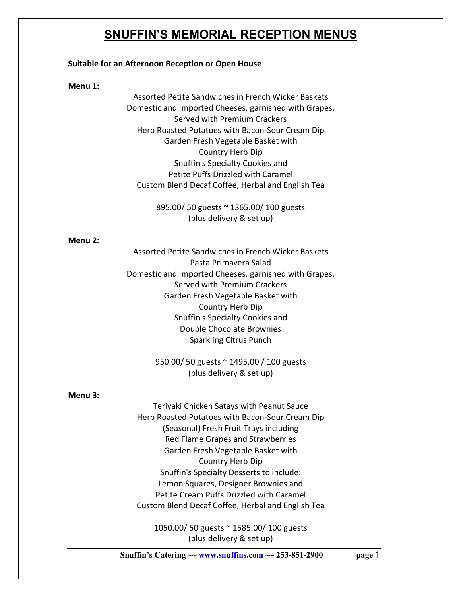# **SNUFFIN'S MEMORIAL RECEPTION MENUS**

#### **Suitable for an Afternoon Reception or Open House**

#### **Menu 1:**

Assorted Petite Sandwiches in French Wicker Baskets Domestic and Imported Cheeses, garnished with Grapes, Served with Premium Crackers Herb Roasted Potatoes with Bacon-Sour Cream Dip Garden Fresh Vegetable Basket with Country Herb Dip Snuffin's Specialty Cookies and Petite Puffs Drizzled with Caramel Custom Blend Decaf Coffee, Herbal and English Tea

> 895.00/ 50 guests ~ 1365.00/ 100 guests (plus delivery & set up)

#### **Menu 2:**

Assorted Petite Sandwiches in French Wicker Baskets Pasta Primavera Salad Domestic and Imported Cheeses, garnished with Grapes, Served with Premium Crackers Garden Fresh Vegetable Basket with Country Herb Dip Snuffin's Specialty Cookies and Double Chocolate Brownies Sparkling Citrus Punch

> 950.00/ 50 guests ~ 1495.00 / 100 guests (plus delivery & set up)

#### **Menu 3:**

Teriyaki Chicken Satays with Peanut Sauce Herb Roasted Potatoes with Bacon-Sour Cream Dip (Seasonal) Fresh Fruit Trays including Red Flame Grapes and Strawberries Garden Fresh Vegetable Basket with Country Herb Dip Snuffin's Specialty Desserts to include: Lemon Squares, Designer Brownies and Petite Cream Puffs Drizzled with Caramel Custom Blend Decaf Coffee, Herbal and English Tea

1050.00/ 50 guests ~ 1585.00/ 100 guests (plus delivery & set up)

**Snuffin's Catering**  $\sim$  **<u>www.snuffins.com</u>**  $\sim$  **253-851-2900 page 1**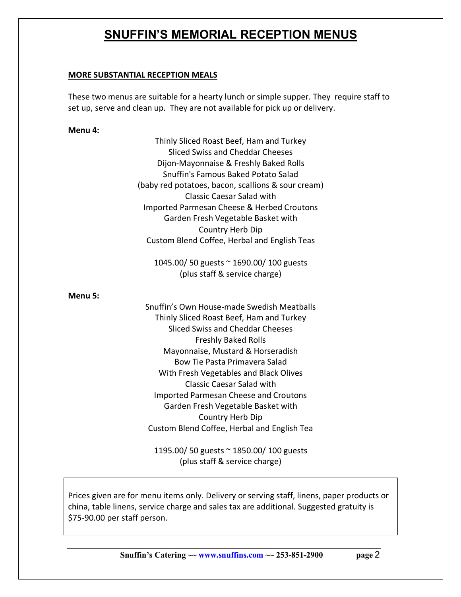# **SNUFFIN'S MEMORIAL RECEPTION MENUS**

## **MORE SUBSTANTIAL RECEPTION MEALS**

These two menus are suitable for a hearty lunch or simple supper. They require staff to set up, serve and clean up. They are not available for pick up or delivery.

## **Menu 4:**

Thinly Sliced Roast Beef, Ham and Turkey Sliced Swiss and Cheddar Cheeses Dijon-Mayonnaise & Freshly Baked Rolls Snuffin's Famous Baked Potato Salad (baby red potatoes, bacon, scallions & sour cream) Classic Caesar Salad with Imported Parmesan Cheese & Herbed Croutons Garden Fresh Vegetable Basket with Country Herb Dip Custom Blend Coffee, Herbal and English Teas

1045.00/ 50 guests ~ 1690.00/ 100 guests (plus staff & service charge)

**Menu 5:**

Snuffin's Own House-made Swedish Meatballs Thinly Sliced Roast Beef, Ham and Turkey Sliced Swiss and Cheddar Cheeses Freshly Baked Rolls Mayonnaise, Mustard & Horseradish Bow Tie Pasta Primavera Salad With Fresh Vegetables and Black Olives Classic Caesar Salad with Imported Parmesan Cheese and Croutons Garden Fresh Vegetable Basket with Country Herb Dip Custom Blend Coffee, Herbal and English Tea

1195.00/ 50 guests ~ 1850.00/ 100 guests (plus staff & service charge)

Prices given are for menu items only. Delivery or serving staff, linens, paper products or china, table linens, service charge and sales tax are additional. Suggested gratuity is \$75-90.00 per staff person.